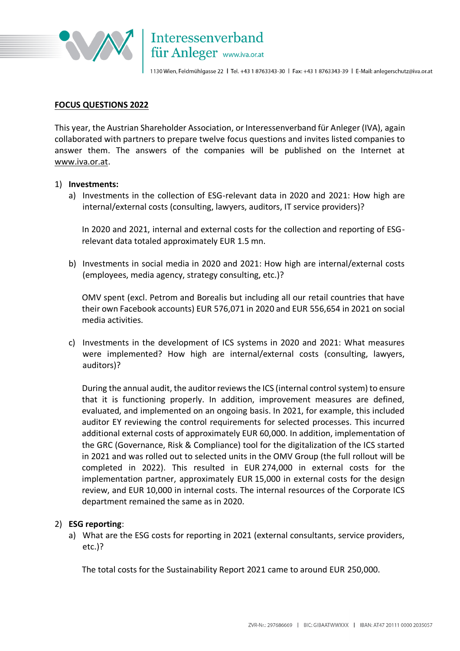

## **FOCUS QUESTIONS 2022**

This year, the Austrian Shareholder Association, or Interessenverband für Anleger (IVA), again collaborated with partners to prepare twelve focus questions and invites listed companies to answer them. The answers of the companies will be published on the Internet at [www.iva.or.at.](http://www.iva.or.at/)

## 1) **Investments:**

a) Investments in the collection of ESG-relevant data in 2020 and 2021: How high are internal/external costs (consulting, lawyers, auditors, IT service providers)?

In 2020 and 2021, internal and external costs for the collection and reporting of ESGrelevant data totaled approximately EUR 1.5 mn.

b) Investments in social media in 2020 and 2021: How high are internal/external costs (employees, media agency, strategy consulting, etc.)?

OMV spent (excl. Petrom and Borealis but including all our retail countries that have their own Facebook accounts) EUR 576,071 in 2020 and EUR 556,654 in 2021 on social media activities.

c) Investments in the development of ICS systems in 2020 and 2021: What measures were implemented? How high are internal/external costs (consulting, lawyers, auditors)?

During the annual audit, the auditor reviews the ICS (internal control system) to ensure that it is functioning properly. In addition, improvement measures are defined, evaluated, and implemented on an ongoing basis. In 2021, for example, this included auditor EY reviewing the control requirements for selected processes. This incurred additional external costs of approximately EUR 60,000. In addition, implementation of the GRC (Governance, Risk & Compliance) tool for the digitalization of the ICS started in 2021 and was rolled out to selected units in the OMV Group (the full rollout will be completed in 2022). This resulted in EUR 274,000 in external costs for the implementation partner, approximately EUR 15,000 in external costs for the design review, and EUR 10,000 in internal costs. The internal resources of the Corporate ICS department remained the same as in 2020.

# 2) **ESG reporting**:

a) What are the ESG costs for reporting in 2021 (external consultants, service providers, etc.)?

The total costs for the Sustainability Report 2021 came to around EUR 250,000.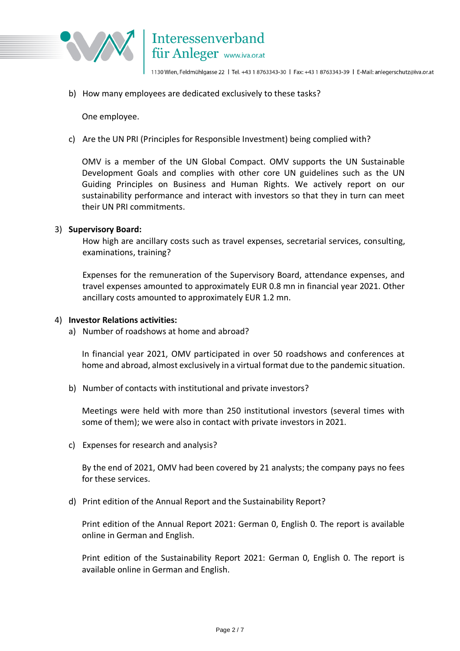

b) How many employees are dedicated exclusively to these tasks?

One employee.

c) Are the UN PRI (Principles for Responsible Investment) being complied with?

OMV is a member of the UN Global Compact. OMV supports the UN Sustainable Development Goals and complies with other core UN guidelines such as the UN Guiding Principles on Business and Human Rights. We actively report on our sustainability performance and interact with investors so that they in turn can meet their UN PRI commitments.

## 3) **Supervisory Board:**

How high are ancillary costs such as travel expenses, secretarial services, consulting, examinations, training?

Expenses for the remuneration of the Supervisory Board, attendance expenses, and travel expenses amounted to approximately EUR 0.8 mn in financial year 2021. Other ancillary costs amounted to approximately EUR 1.2 mn.

#### 4) **Investor Relations activities:**

a) Number of roadshows at home and abroad?

In financial year 2021, OMV participated in over 50 roadshows and conferences at home and abroad, almost exclusively in a virtual format due to the pandemic situation.

b) Number of contacts with institutional and private investors?

Meetings were held with more than 250 institutional investors (several times with some of them); we were also in contact with private investors in 2021.

c) Expenses for research and analysis?

By the end of 2021, OMV had been covered by 21 analysts; the company pays no fees for these services.

d) Print edition of the Annual Report and the Sustainability Report?

Print edition of the Annual Report 2021: German 0, English 0. The report is available online in German and English.

Print edition of the Sustainability Report 2021: German 0, English 0. The report is available online in German and English.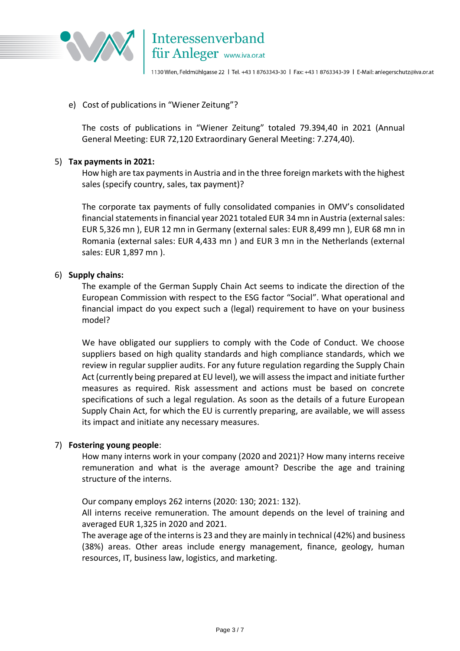

# e) Cost of publications in "Wiener Zeitung"?

The costs of publications in "Wiener Zeitung" totaled 79.394,40 in 2021 (Annual General Meeting: EUR 72,120 Extraordinary General Meeting: 7.274,40).

# 5) **Tax payments in 2021:**

How high are tax payments in Austria and in the three foreign markets with the highest sales (specify country, sales, tax payment)?

The corporate tax payments of fully consolidated companies in OMV's consolidated financial statements in financial year 2021 totaled EUR 34 mn in Austria (external sales: EUR 5,326 mn ), EUR 12 mn in Germany (external sales: EUR 8,499 mn ), EUR 68 mn in Romania (external sales: EUR 4,433 mn ) and EUR 3 mn in the Netherlands (external sales: EUR 1,897 mn ).

# 6) **Supply chains:**

The example of the German Supply Chain Act seems to indicate the direction of the European Commission with respect to the ESG factor "Social". What operational and financial impact do you expect such a (legal) requirement to have on your business model?

We have obligated our suppliers to comply with the Code of Conduct. We choose suppliers based on high quality standards and high compliance standards, which we review in regular supplier audits. For any future regulation regarding the Supply Chain Act (currently being prepared at EU level), we will assess the impact and initiate further measures as required. Risk assessment and actions must be based on concrete specifications of such a legal regulation. As soon as the details of a future European Supply Chain Act, for which the EU is currently preparing, are available, we will assess its impact and initiate any necessary measures.

# 7) **Fostering young people**:

How many interns work in your company (2020 and 2021)? How many interns receive remuneration and what is the average amount? Describe the age and training structure of the interns.

Our company employs 262 interns (2020: 130; 2021: 132).

All interns receive remuneration. The amount depends on the level of training and averaged EUR 1,325 in 2020 and 2021.

The average age of the interns is 23 and they are mainly in technical (42%) and business (38%) areas. Other areas include energy management, finance, geology, human resources, IT, business law, logistics, and marketing.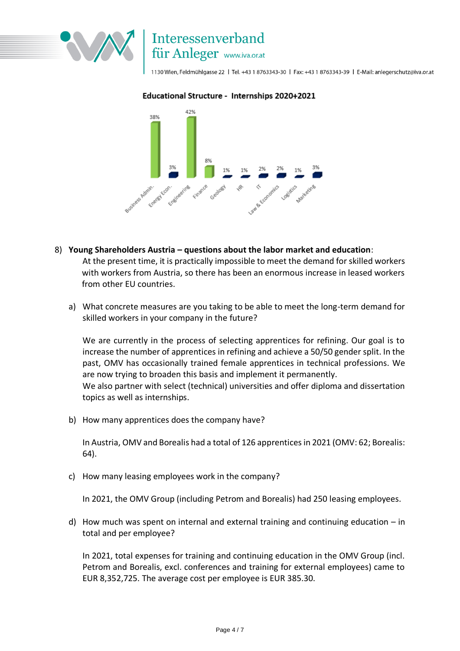

# Interessenverband für Anleger www.iva.or.at

1130 Wien, Feldmühlgasse 22 | Tel. +43 1 8763343-30 | Fax: +43 1 8763343-39 | E-Mail: anlegerschutz@iva.or.at

## Educational Structure - Internships 2020+2021



- 8) **Young Shareholders Austria – questions about the labor market and education**: At the present time, it is practically impossible to meet the demand for skilled workers with workers from Austria, so there has been an enormous increase in leased workers from other EU countries.
	- a) What concrete measures are you taking to be able to meet the long-term demand for skilled workers in your company in the future?

We are currently in the process of selecting apprentices for refining. Our goal is to increase the number of apprentices in refining and achieve a 50/50 gender split. In the past, OMV has occasionally trained female apprentices in technical professions. We are now trying to broaden this basis and implement it permanently. We also partner with select (technical) universities and offer diploma and dissertation topics as well as internships.

b) How many apprentices does the company have?

In Austria, OMV and Borealis had a total of 126 apprentices in 2021 (OMV: 62; Borealis: 64).

c) How many leasing employees work in the company?

In 2021, the OMV Group (including Petrom and Borealis) had 250 leasing employees.

d) How much was spent on internal and external training and continuing education – in total and per employee?

In 2021, total expenses for training and continuing education in the OMV Group (incl. Petrom and Borealis, excl. conferences and training for external employees) came to EUR 8,352,725. The average cost per employee is EUR 385.30.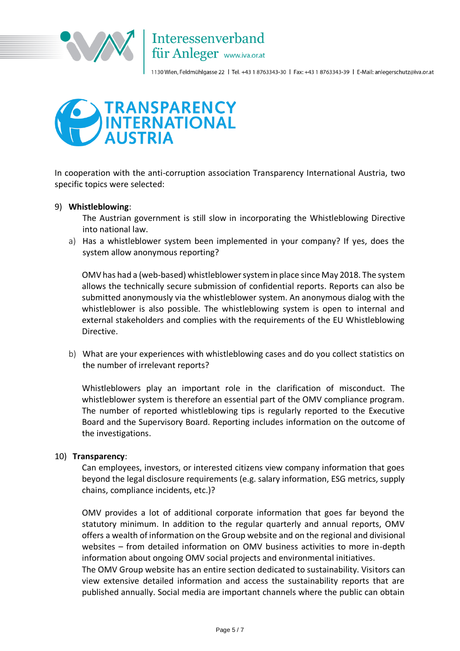



In cooperation with the anti-corruption association Transparency International Austria, two specific topics were selected:

# 9) **Whistleblowing**:

The Austrian government is still slow in incorporating the Whistleblowing Directive into national law.

a) Has a whistleblower system been implemented in your company? If yes, does the system allow anonymous reporting?

OMV has had a (web-based) whistleblower system in place since May 2018. The system allows the technically secure submission of confidential reports. Reports can also be submitted anonymously via the whistleblower system. An anonymous dialog with the whistleblower is also possible. The whistleblowing system is open to internal and external stakeholders and complies with the requirements of the EU Whistleblowing Directive.

b) What are your experiences with whistleblowing cases and do you collect statistics on the number of irrelevant reports?

Whistleblowers play an important role in the clarification of misconduct. The whistleblower system is therefore an essential part of the OMV compliance program. The number of reported whistleblowing tips is regularly reported to the Executive Board and the Supervisory Board. Reporting includes information on the outcome of the investigations.

# 10) **Transparency**:

Can employees, investors, or interested citizens view company information that goes beyond the legal disclosure requirements (e.g. salary information, ESG metrics, supply chains, compliance incidents, etc.)?

OMV provides a lot of additional corporate information that goes far beyond the statutory minimum. In addition to the regular quarterly and annual reports, OMV offers a wealth of information on the Group website and on the regional and divisional websites – from detailed information on OMV business activities to more in-depth information about ongoing OMV social projects and environmental initiatives.

The OMV Group website has an entire section dedicated to sustainability. Visitors can view extensive detailed information and access the sustainability reports that are published annually. Social media are important channels where the public can obtain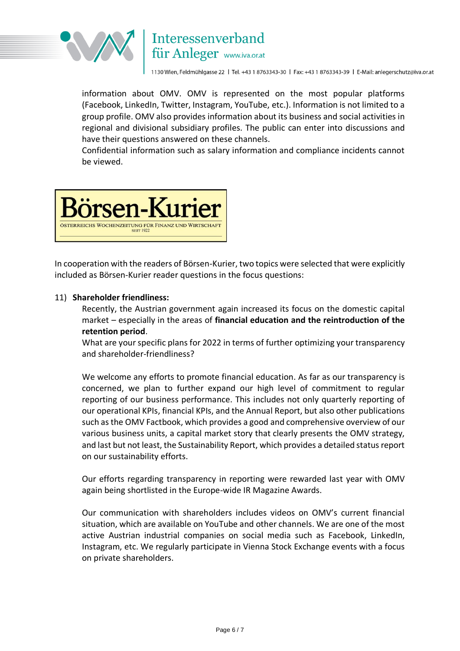

# Interessenverband für Anleger www.iva.or.at

1130 Wien, Feldmühlgasse 22 | Tel. +43 1 8763343-30 | Fax: +43 1 8763343-39 | E-Mail: anlegerschutz@iva.or.at

information about OMV. OMV is represented on the most popular platforms (Facebook, LinkedIn, Twitter, Instagram, YouTube, etc.). Information is not limited to a group profile. OMV also provides information about its business and social activities in regional and divisional subsidiary profiles. The public can enter into discussions and have their questions answered on these channels.

Confidential information such as salary information and compliance incidents cannot be viewed.



In cooperation with the readers of Börsen-Kurier, two topics were selected that were explicitly included as Börsen-Kurier reader questions in the focus questions:

# 11) **Shareholder friendliness:**

Recently, the Austrian government again increased its focus on the domestic capital market – especially in the areas of **financial education and the reintroduction of the retention period**.

What are your specific plans for 2022 in terms of further optimizing your transparency and shareholder-friendliness?

We welcome any efforts to promote financial education. As far as our transparency is concerned, we plan to further expand our high level of commitment to regular reporting of our business performance. This includes not only quarterly reporting of our operational KPIs, financial KPIs, and the Annual Report, but also other publications such as the OMV Factbook, which provides a good and comprehensive overview of our various business units, a capital market story that clearly presents the OMV strategy, and last but not least, the Sustainability Report, which provides a detailed status report on our sustainability efforts.

Our efforts regarding transparency in reporting were rewarded last year with OMV again being shortlisted in the Europe-wide IR Magazine Awards.

Our communication with shareholders includes videos on OMV's current financial situation, which are available on YouTube and other channels. We are one of the most active Austrian industrial companies on social media such as Facebook, LinkedIn, Instagram, etc. We regularly participate in Vienna Stock Exchange events with a focus on private shareholders.